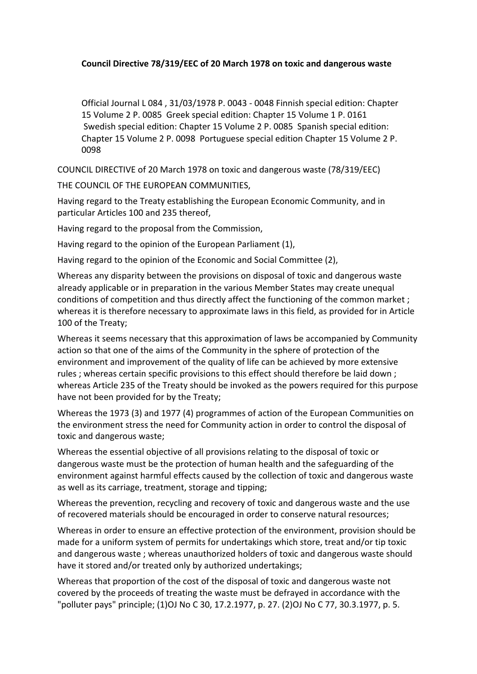# Council Directive 78/319/EEC of 20 March 1978 on toxic and dangerous waste

Official Journal L 084, 31/03/1978 P. 0043 - 0048 Finnish special edition: Chapter 15 Volume 2 P. 0085 Greek special edition: Chapter 15 Volume 1 P. 0161 Swedish special edition: Chapter 15 Volume 2 P. 0085 Spanish special edition: Chapter 15 Volume 2 P. 0098 Portuguese special edition Chapter 15 Volume 2 P. 0098!

COUNCIL DIRECTIVE of 20 March 1978 on toxic and dangerous waste (78/319/EEC)

THE COUNCIL OF THE EUROPEAN COMMUNITIES,

Having regard to the Treaty establishing the European Economic Community, and in particular Articles 100 and 235 thereof,

Having regard to the proposal from the Commission,

Having regard to the opinion of the European Parliament (1),

Having regard to the opinion of the Economic and Social Committee (2),

Whereas any disparity between the provisions on disposal of toxic and dangerous waste already applicable or in preparation in the various Member States may create unequal conditions of competition and thus directly affect the functioning of the common market ; whereas it is therefore necessary to approximate laws in this field, as provided for in Article 100 of the Treaty;

Whereas it seems necessary that this approximation of laws be accompanied by Community action so that one of the aims of the Community in the sphere of protection of the environment and improvement of the quality of life can be achieved by more extensive rules ; whereas certain specific provisions to this effect should therefore be laid down ; whereas Article 235 of the Treaty should be invoked as the powers required for this purpose have not been provided for by the Treaty;

Whereas the 1973 (3) and 1977 (4) programmes of action of the European Communities on the environment stress the need for Community action in order to control the disposal of toxic and dangerous waste;

Whereas the essential objective of all provisions relating to the disposal of toxic or dangerous waste must be the protection of human health and the safeguarding of the environment against harmful effects caused by the collection of toxic and dangerous waste as well as its carriage, treatment, storage and tipping;

Whereas the prevention, recycling and recovery of toxic and dangerous waste and the use of recovered materials should be encouraged in order to conserve natural resources;

Whereas in order to ensure an effective protection of the environment, provision should be made for a uniform system of permits for undertakings which store, treat and/or tip toxic and dangerous waste; whereas unauthorized holders of toxic and dangerous waste should have it stored and/or treated only by authorized undertakings;

Whereas that proportion of the cost of the disposal of toxic and dangerous waste not covered by the proceeds of treating the waste must be defrayed in accordance with the "polluter pays" principle; (1)OJ No C 30, 17.2.1977, p. 27. (2)OJ No C 77, 30.3.1977, p. 5.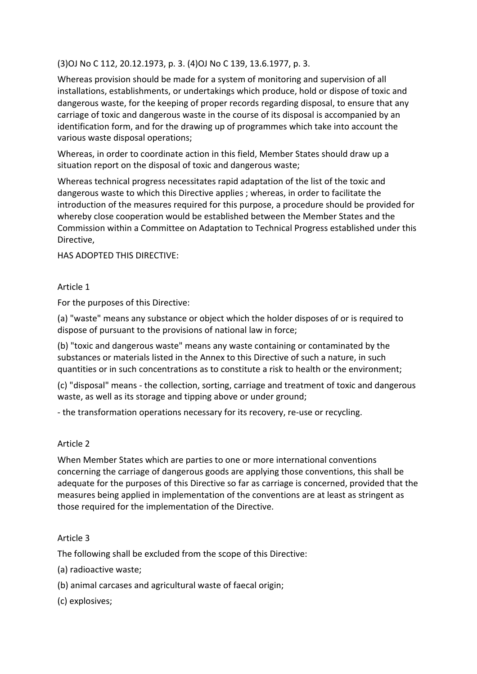(3)OJ No C 112, 20.12.1973, p. 3. (4)OJ No C 139, 13.6.1977, p. 3.

Whereas provision should be made for a system of monitoring and supervision of all installations, establishments, or undertakings which produce, hold or dispose of toxic and dangerous waste, for the keeping of proper records regarding disposal, to ensure that any carriage of toxic and dangerous waste in the course of its disposal is accompanied by an identification form, and for the drawing up of programmes which take into account the various waste disposal operations;

Whereas, in order to coordinate action in this field, Member States should draw up a situation report on the disposal of toxic and dangerous waste;

Whereas technical progress necessitates rapid adaptation of the list of the toxic and dangerous waste to which this Directive applies ; whereas, in order to facilitate the introduction of the measures required for this purpose, a procedure should be provided for whereby close cooperation would be established between the Member States and the Commission within a Committee on Adaptation to Technical Progress established under this Directive,

HAS ADOPTED THIS DIRECTIVE:

### Article 1

For the purposes of this Directive:

(a) "waste" means any substance or object which the holder disposes of or is required to dispose of pursuant to the provisions of national law in force;

(b) "toxic and dangerous waste" means any waste containing or contaminated by the substances or materials listed in the Annex to this Directive of such a nature, in such quantities or in such concentrations as to constitute a risk to health or the environment;

(c) "disposal" means - the collection, sorting, carriage and treatment of toxic and dangerous waste, as well as its storage and tipping above or under ground;

- the transformation operations necessary for its recovery, re-use or recycling.

#### Article 2

When Member States which are parties to one or more international conventions concerning the carriage of dangerous goods are applying those conventions, this shall be adequate for the purposes of this Directive so far as carriage is concerned, provided that the measures being applied in implementation of the conventions are at least as stringent as those required for the implementation of the Directive.

#### Article 3

The following shall be excluded from the scope of this Directive:

- (a) radioactive waste;
- (b) animal carcases and agricultural waste of faecal origin;
- (c)!explosives;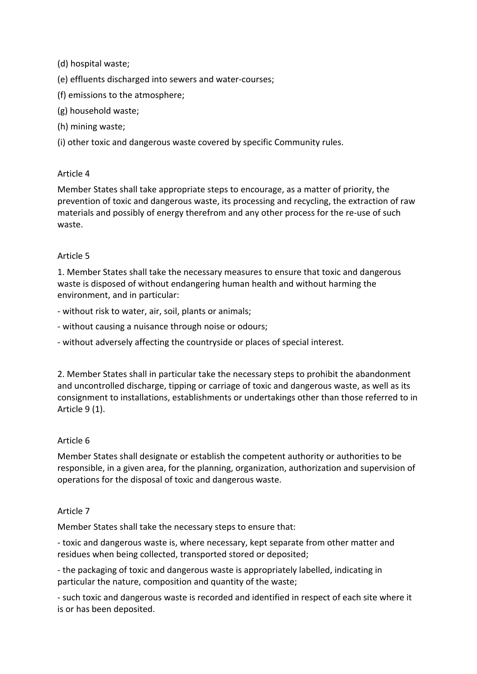(d) hospital waste;

(e) effluents discharged into sewers and water-courses;

- (f) emissions to the atmosphere;
- (g) household waste;
- (h) mining waste;

(i) other toxic and dangerous waste covered by specific Community rules.

# Article 4

Member States shall take appropriate steps to encourage, as a matter of priority, the prevention of toxic and dangerous waste, its processing and recycling, the extraction of raw materials and possibly of energy therefrom and any other process for the re-use of such waste.

### Article 5

1. Member States shall take the necessary measures to ensure that toxic and dangerous waste is disposed of without endangering human health and without harming the environment, and in particular:

- without risk to water, air, soil, plants or animals;
- without causing a nuisance through noise or odours;
- without adversely affecting the countryside or places of special interest.

2. Member States shall in particular take the necessary steps to prohibit the abandonment and uncontrolled discharge, tipping or carriage of toxic and dangerous waste, as well as its consignment to installations, establishments or undertakings other than those referred to in Article  $9(1)$ .

# Article 6

Member States shall designate or establish the competent authority or authorities to be responsible, in a given area, for the planning, organization, authorization and supervision of operations for the disposal of toxic and dangerous waste.

#### Article 7

Member States shall take the necessary steps to ensure that:

- toxic and dangerous waste is, where necessary, kept separate from other matter and residues when being collected, transported stored or deposited;

- the packaging of toxic and dangerous waste is appropriately labelled, indicating in particular the nature, composition and quantity of the waste;

- such toxic and dangerous waste is recorded and identified in respect of each site where it is or has been deposited.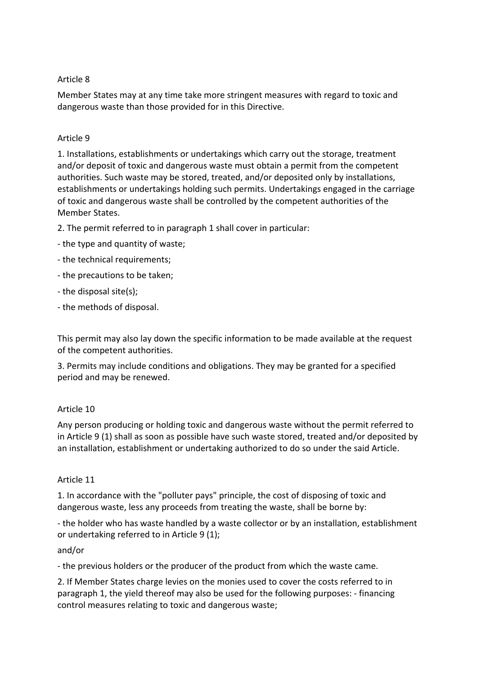# Article 8

Member States may at any time take more stringent measures with regard to toxic and dangerous waste than those provided for in this Directive.

### Article 9

1. Installations, establishments or undertakings which carry out the storage, treatment and/or deposit of toxic and dangerous waste must obtain a permit from the competent authorities. Such waste may be stored, treated, and/or deposited only by installations, establishments or undertakings holding such permits. Undertakings engaged in the carriage of toxic and dangerous waste shall be controlled by the competent authorities of the Member States.

- 2. The permit referred to in paragraph 1 shall cover in particular:
- the type and quantity of waste;
- the technical requirements;
- the precautions to be taken;
- the disposal site(s);
- the methods of disposal.

This permit may also lay down the specific information to be made available at the request of the competent authorities.

3. Permits may include conditions and obligations. They may be granted for a specified period and may be renewed.

#### Article 10

Any person producing or holding toxic and dangerous waste without the permit referred to in Article 9 (1) shall as soon as possible have such waste stored, treated and/or deposited by an installation, establishment or undertaking authorized to do so under the said Article.

#### Article 11

1. In accordance with the "polluter pays" principle, the cost of disposing of toxic and dangerous waste, less any proceeds from treating the waste, shall be borne by:

- the holder who has waste handled by a waste collector or by an installation, establishment or undertaking referred to in Article 9 (1);

#### and/or

- the previous holders or the producer of the product from which the waste came.

2. If Member States charge levies on the monies used to cover the costs referred to in paragraph 1, the yield thereof may also be used for the following purposes: - financing control measures relating to toxic and dangerous waste;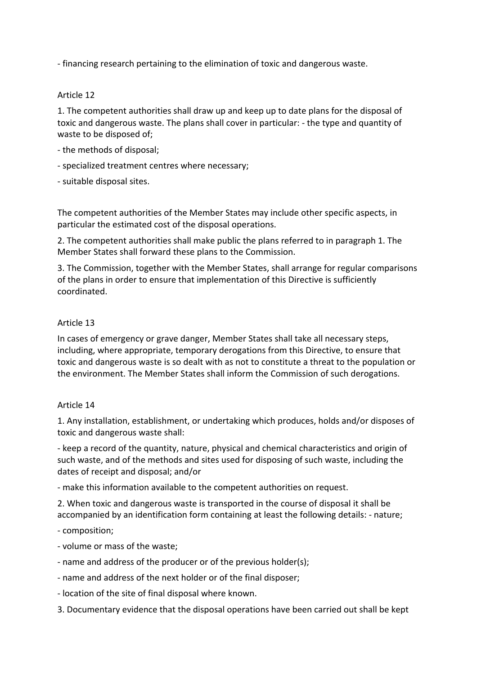- financing research pertaining to the elimination of toxic and dangerous waste.

### Article 12

1. The competent authorities shall draw up and keep up to date plans for the disposal of toxic and dangerous waste. The plans shall cover in particular: - the type and quantity of waste to be disposed of;

- the methods of disposal;
- specialized treatment centres where necessary;
- suitable disposal sites.

The competent authorities of the Member States may include other specific aspects, in particular the estimated cost of the disposal operations.

2. The competent authorities shall make public the plans referred to in paragraph 1. The Member States shall forward these plans to the Commission.

3. The Commission, together with the Member States, shall arrange for regular comparisons of the plans in order to ensure that implementation of this Directive is sufficiently coordinated.

#### Article 13

In cases of emergency or grave danger, Member States shall take all necessary steps, including, where appropriate, temporary derogations from this Directive, to ensure that toxic and dangerous waste is so dealt with as not to constitute a threat to the population or the environment. The Member States shall inform the Commission of such derogations.

#### Article 14

1. Any installation, establishment, or undertaking which produces, holds and/or disposes of toxic and dangerous waste shall:

- keep a record of the quantity, nature, physical and chemical characteristics and origin of such waste, and of the methods and sites used for disposing of such waste, including the dates of receipt and disposal; and/or

- make this information available to the competent authorities on request.

2. When toxic and dangerous waste is transported in the course of disposal it shall be accompanied by an identification form containing at least the following details: - nature;

- composition:

- volume or mass of the waste:
- name and address of the producer or of the previous holder(s);
- name and address of the next holder or of the final disposer;
- location of the site of final disposal where known.
- 3. Documentary evidence that the disposal operations have been carried out shall be kept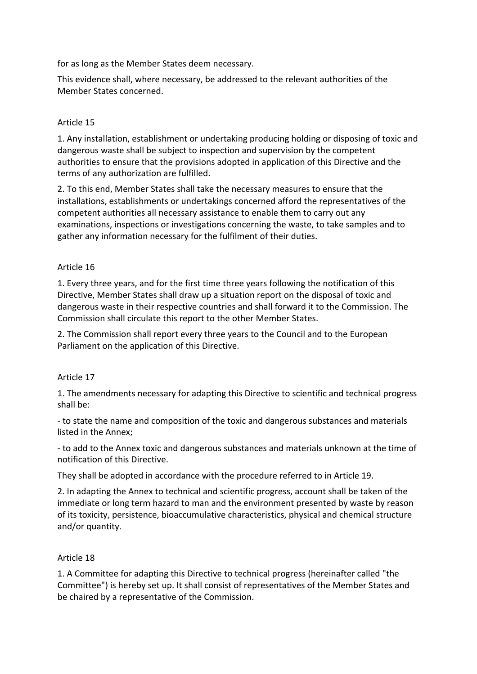for as long as the Member States deem necessary.

This evidence shall, where necessary, be addressed to the relevant authorities of the Member States concerned.

# Article 15

1. Any installation, establishment or undertaking producing holding or disposing of toxic and dangerous waste shall be subject to inspection and supervision by the competent authorities to ensure that the provisions adopted in application of this Directive and the terms of any authorization are fulfilled.

2. To this end, Member States shall take the necessary measures to ensure that the installations, establishments or undertakings concerned afford the representatives of the competent authorities all necessary assistance to enable them to carry out any examinations, inspections or investigations concerning the waste, to take samples and to gather any information necessary for the fulfilment of their duties.

# Article 16

1. Every three years, and for the first time three years following the notification of this Directive, Member States shall draw up a situation report on the disposal of toxic and dangerous waste in their respective countries and shall forward it to the Commission. The Commission shall circulate this report to the other Member States.

2. The Commission shall report every three years to the Council and to the European Parliament on the application of this Directive.

# Article 17

1. The amendments necessary for adapting this Directive to scientific and technical progress shall be:

- to state the name and composition of the toxic and dangerous substances and materials listed in the Annex;

- to add to the Annex toxic and dangerous substances and materials unknown at the time of notification of this Directive.

They shall be adopted in accordance with the procedure referred to in Article 19.

2. In adapting the Annex to technical and scientific progress, account shall be taken of the immediate or long term hazard to man and the environment presented by waste by reason of its toxicity, persistence, bioaccumulative characteristics, physical and chemical structure and/or quantity.

# Article 18

1. A Committee for adapting this Directive to technical progress (hereinafter called "the Committee") is hereby set up. It shall consist of representatives of the Member States and be chaired by a representative of the Commission.